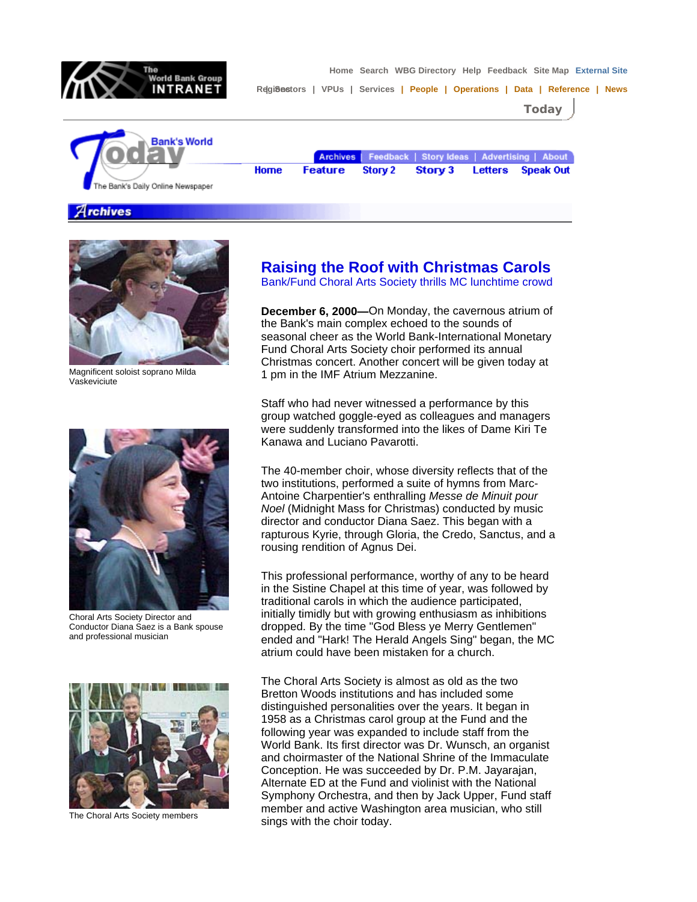

 **Home Search WBG Directory Help Feedback Site Map External Site** 

Regi8astors | VPUs | Services | People | Operations | Data | Reference | News

**Today**



Archives | Feedback | Story Ideas | Advertising | About Home **Feature** Story 2 Story 3 Letters **Speak Out** 

**Archives** 



Magnificent soloist soprano Milda Vaskeviciute



Choral Arts Society Director and Conductor Diana Saez is a Bank spouse and professional musician



The Choral Arts Society members

## **Raising the Roof with Christmas Carols**

Bank/Fund Choral Arts Society thrills MC lunchtime crowd

**December 6, 2000—**On Monday, the cavernous atrium of the Bank's main complex echoed to the sounds of seasonal cheer as the World Bank-International Monetary Fund Choral Arts Society choir performed its annual Christmas concert. Another concert will be given today at 1 pm in the IMF Atrium Mezzanine.

Staff who had never witnessed a performance by this group watched goggle-eyed as colleagues and managers were suddenly transformed into the likes of Dame Kiri Te Kanawa and Luciano Pavarotti.

The 40-member choir, whose diversity reflects that of the two institutions, performed a suite of hymns from Marc-Antoine Charpentier's enthralling *Messe de Minuit pour Noel* (Midnight Mass for Christmas) conducted by music director and conductor Diana Saez. This began with a rapturous Kyrie, through Gloria, the Credo, Sanctus, and a rousing rendition of Agnus Dei.

This professional performance, worthy of any to be heard in the Sistine Chapel at this time of year, was followed by traditional carols in which the audience participated, initially timidly but with growing enthusiasm as inhibitions dropped. By the time "God Bless ye Merry Gentlemen" ended and "Hark! The Herald Angels Sing" began, the MC atrium could have been mistaken for a church.

The Choral Arts Society is almost as old as the two Bretton Woods institutions and has included some distinguished personalities over the years. It began in 1958 as a Christmas carol group at the Fund and the following year was expanded to include staff from the World Bank. Its first director was Dr. Wunsch, an organist and choirmaster of the National Shrine of the Immaculate Conception. He was succeeded by Dr. P.M. Jayarajan, Alternate ED at the Fund and violinist with the National Symphony Orchestra, and then by Jack Upper, Fund staff member and active Washington area musician, who still sings with the choir today.